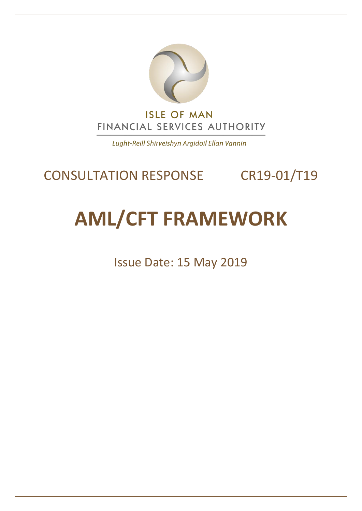

Lught-Reill Shirveishyn Argidoil Ellan Vannin

# CONSULTATION RESPONSE CR19-01/T19

# **AML/CFT FRAMEWORK**

Issue Date: 15 May 2019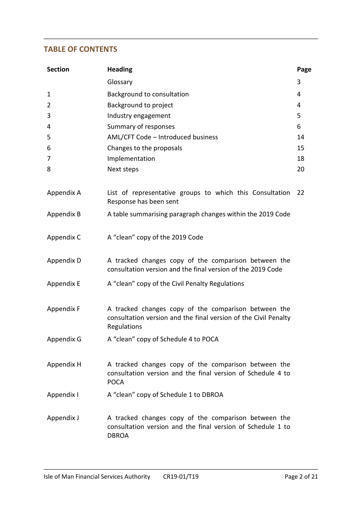# **TABLE OF CONTENTS**

| <b>Section</b> | <b>Heading</b>                                                                                                                         | Page |
|----------------|----------------------------------------------------------------------------------------------------------------------------------------|------|
|                | Glossary                                                                                                                               | 3    |
| $\mathbf{1}$   | Background to consultation                                                                                                             | 4    |
| 2              | Background to project                                                                                                                  | 4    |
| 3              | Industry engagement                                                                                                                    | 5    |
| 4              | Summary of responses                                                                                                                   | 6    |
| 5              | AML/CFT Code - Introduced business                                                                                                     | 14   |
| 6              | Changes to the proposals                                                                                                               | 15   |
| 7              | Implementation                                                                                                                         | 18   |
| 8              | Next steps                                                                                                                             | 20   |
| Appendix A     | List of representative groups to which this Consultation<br>Response has been sent                                                     | 22   |
| Appendix B     | A table summarising paragraph changes within the 2019 Code                                                                             |      |
| Appendix C     | A "clean" copy of the 2019 Code                                                                                                        |      |
| Appendix D     | A tracked changes copy of the comparison between the<br>consultation version and the final version of the 2019 Code                    |      |
| Appendix E     | A "clean" copy of the Civil Penalty Regulations                                                                                        |      |
| Appendix F     | A tracked changes copy of the comparison between the<br>consultation version and the final version of the Civil Penalty<br>Regulations |      |
| Appendix G     | A "clean" copy of Schedule 4 to POCA                                                                                                   |      |
| Appendix H     | A tracked changes copy of the comparison between the<br>consultation version and the final version of Schedule 4 to<br><b>POCA</b>     |      |
| Appendix I     | A "clean" copy of Schedule 1 to DBROA                                                                                                  |      |
| Appendix J     | A tracked changes copy of the comparison between the<br>consultation version and the final version of Schedule 1 to<br><b>DBROA</b>    |      |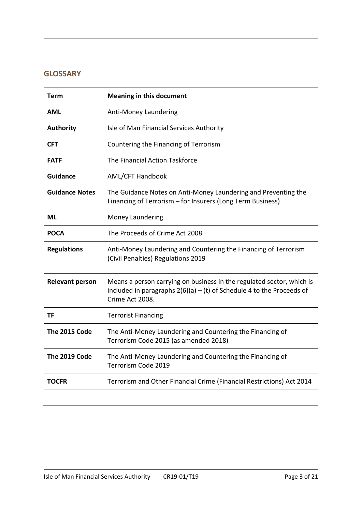# **GLOSSARY**

| Term                   | <b>Meaning in this document</b>                                                                                                                                     |
|------------------------|---------------------------------------------------------------------------------------------------------------------------------------------------------------------|
| AML                    | Anti-Money Laundering                                                                                                                                               |
| <b>Authority</b>       | Isle of Man Financial Services Authority                                                                                                                            |
| <b>CFT</b>             | Countering the Financing of Terrorism                                                                                                                               |
| <b>FATF</b>            | The Financial Action Taskforce                                                                                                                                      |
| <b>Guidance</b>        | <b>AML/CFT Handbook</b>                                                                                                                                             |
| <b>Guidance Notes</b>  | The Guidance Notes on Anti-Money Laundering and Preventing the<br>Financing of Terrorism - for Insurers (Long Term Business)                                        |
| ML                     | Money Laundering                                                                                                                                                    |
| <b>POCA</b>            | The Proceeds of Crime Act 2008                                                                                                                                      |
| <b>Regulations</b>     | Anti-Money Laundering and Countering the Financing of Terrorism<br>(Civil Penalties) Regulations 2019                                                               |
| <b>Relevant person</b> | Means a person carrying on business in the regulated sector, which is<br>included in paragraphs $2(6)(a) - (t)$ of Schedule 4 to the Proceeds of<br>Crime Act 2008. |
| <b>TF</b>              | <b>Terrorist Financing</b>                                                                                                                                          |
| The 2015 Code          | The Anti-Money Laundering and Countering the Financing of<br>Terrorism Code 2015 (as amended 2018)                                                                  |
| The 2019 Code          | The Anti-Money Laundering and Countering the Financing of<br>Terrorism Code 2019                                                                                    |
| <b>TOCFR</b>           | Terrorism and Other Financial Crime (Financial Restrictions) Act 2014                                                                                               |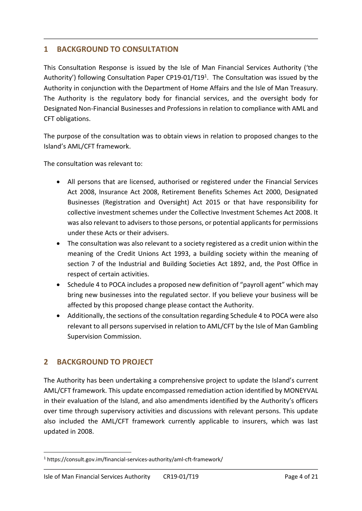# **1 BACKGROUND TO CONSULTATION**

This Consultation Response is issued by the Isle of Man Financial Services Authority ('the Authority') following Consultation Paper CP19-01/T19<sup>1</sup>. The Consultation was issued by the Authority in conjunction with the Department of Home Affairs and the Isle of Man Treasury. The Authority is the regulatory body for financial services, and the oversight body for Designated Non-Financial Businesses and Professions in relation to compliance with AML and CFT obligations.

The purpose of the consultation was to obtain views in relation to proposed changes to the Island's AML/CFT framework.

The consultation was relevant to:

- All persons that are licensed, authorised or registered under the Financial Services Act 2008, Insurance Act 2008, Retirement Benefits Schemes Act 2000, Designated Businesses (Registration and Oversight) Act 2015 or that have responsibility for collective investment schemes under the Collective Investment Schemes Act 2008. It was also relevant to advisers to those persons, or potential applicants for permissions under these Acts or their advisers.
- The consultation was also relevant to a society registered as a credit union within the meaning of the Credit Unions Act 1993, a building society within the meaning of section 7 of the Industrial and Building Societies Act 1892, and, the Post Office in respect of certain activities.
- Schedule 4 to POCA includes a proposed new definition of "payroll agent" which may bring new businesses into the regulated sector. If you believe your business will be affected by this proposed change please contact the Authority.
- Additionally, the sections of the consultation regarding Schedule 4 to POCA were also relevant to all persons supervised in relation to AML/CFT by the Isle of Man Gambling Supervision Commission.

# **2 BACKGROUND TO PROJECT**

The Authority has been undertaking a comprehensive project to update the Island's current AML/CFT framework. This update encompassed remediation action identified by MONEYVAL in their evaluation of the Island, and also amendments identified by the Authority's officers over time through supervisory activities and discussions with relevant persons. This update also included the AML/CFT framework currently applicable to insurers, which was last updated in 2008.

<sup>-</sup><sup>1</sup> https://consult.gov.im/financial-services-authority/aml-cft-framework/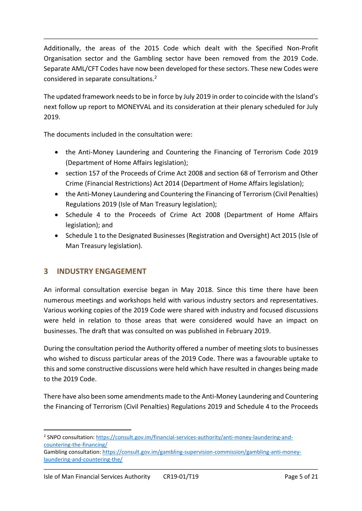Additionally, the areas of the 2015 Code which dealt with the Specified Non-Profit Organisation sector and the Gambling sector have been removed from the 2019 Code. Separate AML/CFT Codes have now been developed for these sectors. These new Codes were considered in separate consultations.<sup>2</sup>

The updated framework needs to be in force by July 2019 in order to coincide with the Island's next follow up report to MONEYVAL and its consideration at their plenary scheduled for July 2019.

The documents included in the consultation were:

- the Anti-Money Laundering and Countering the Financing of Terrorism Code 2019 (Department of Home Affairs legislation);
- section 157 of the Proceeds of Crime Act 2008 and section 68 of Terrorism and Other Crime (Financial Restrictions) Act 2014 (Department of Home Affairs legislation);
- the Anti-Money Laundering and Countering the Financing of Terrorism (Civil Penalties) Regulations 2019 (Isle of Man Treasury legislation);
- Schedule 4 to the Proceeds of Crime Act 2008 (Department of Home Affairs legislation); and
- Schedule 1 to the Designated Businesses (Registration and Oversight) Act 2015 (Isle of Man Treasury legislation).

# **3 INDUSTRY ENGAGEMENT**

An informal consultation exercise began in May 2018. Since this time there have been numerous meetings and workshops held with various industry sectors and representatives. Various working copies of the 2019 Code were shared with industry and focused discussions were held in relation to those areas that were considered would have an impact on businesses. The draft that was consulted on was published in February 2019.

During the consultation period the Authority offered a number of meeting slots to businesses who wished to discuss particular areas of the 2019 Code. There was a favourable uptake to this and some constructive discussions were held which have resulted in changes being made to the 2019 Code.

There have also been some amendments made to the Anti-Money Laundering and Countering the Financing of Terrorism (Civil Penalties) Regulations 2019 and Schedule 4 to the Proceeds

<sup>2</sup> SNPO consultation: [https://consult.gov.im/financial-services-authority/anti-money-laundering-and](https://consult.gov.im/financial-services-authority/anti-money-laundering-and-countering-the-financing/)[countering-the-financing/](https://consult.gov.im/financial-services-authority/anti-money-laundering-and-countering-the-financing/)

Gambling consultation[: https://consult.gov.im/gambling-supervision-commission/gambling-anti-money](https://consult.gov.im/gambling-supervision-commission/gambling-anti-money-laundering-and-countering-the/)[laundering-and-countering-the/](https://consult.gov.im/gambling-supervision-commission/gambling-anti-money-laundering-and-countering-the/)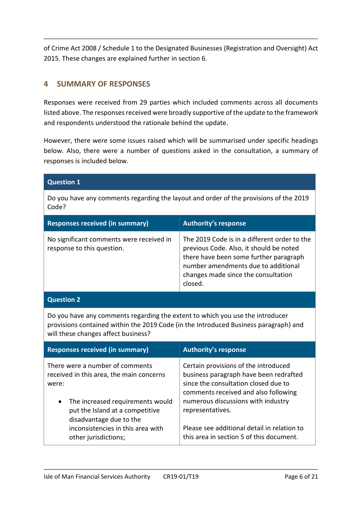of Crime Act 2008 / Schedule 1 to the Designated Businesses (Registration and Oversight) Act 2015. These changes are explained further in section 6.

# **4 SUMMARY OF RESPONSES**

Responses were received from 29 parties which included comments across all documents listed above. The responses received were broadly supportive of the update to the framework and respondents understood the rationale behind the update.

However, there were some issues raised which will be summarised under specific headings below. Also, there were a number of questions asked in the consultation, a summary of responses is included below.

| <b>Question 1</b>                                                                                                                                                                                                                                   |                                                                                                                                                                                                                                                                                                                     |  |  |
|-----------------------------------------------------------------------------------------------------------------------------------------------------------------------------------------------------------------------------------------------------|---------------------------------------------------------------------------------------------------------------------------------------------------------------------------------------------------------------------------------------------------------------------------------------------------------------------|--|--|
| Do you have any comments regarding the layout and order of the provisions of the 2019<br>Code?                                                                                                                                                      |                                                                                                                                                                                                                                                                                                                     |  |  |
| <b>Responses received (in summary)</b><br><b>Authority's response</b>                                                                                                                                                                               |                                                                                                                                                                                                                                                                                                                     |  |  |
| No significant comments were received in<br>response to this question.                                                                                                                                                                              | The 2019 Code is in a different order to the<br>previous Code. Also, it should be noted<br>there have been some further paragraph<br>number amendments due to additional<br>changes made since the consultation<br>closed.                                                                                          |  |  |
| <b>Question 2</b>                                                                                                                                                                                                                                   |                                                                                                                                                                                                                                                                                                                     |  |  |
| Do you have any comments regarding the extent to which you use the introducer<br>provisions contained within the 2019 Code (in the Introduced Business paragraph) and<br>will these changes affect business?                                        |                                                                                                                                                                                                                                                                                                                     |  |  |
| <b>Responses received (in summary)</b>                                                                                                                                                                                                              | <b>Authority's response</b>                                                                                                                                                                                                                                                                                         |  |  |
| There were a number of comments<br>received in this area, the main concerns<br>were:<br>The increased requirements would<br>put the Island at a competitive<br>disadvantage due to the<br>inconsistencies in this area with<br>other jurisdictions; | Certain provisions of the introduced<br>business paragraph have been redrafted<br>since the consultation closed due to<br>comments received and also following<br>numerous discussions with industry<br>representatives.<br>Please see additional detail in relation to<br>this area in section 5 of this document. |  |  |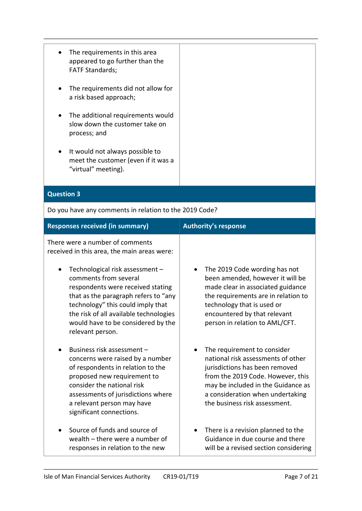| $\bullet$ | The requirements in this area   |
|-----------|---------------------------------|
|           | appeared to go further than the |
|           | <b>FATF Standards;</b>          |

- The requirements did not allow for a risk based approach;
- The additional requirements would slow down the customer take on process; and
- It would not always possible to meet the customer (even if it was a "virtual" meeting).

#### **Question 3**

Do you have any comments in relation to the 2019 Code?

| <b>Responses received (in summary)</b>                                                                                                                                                                                                                           | <b>Authority's response</b>                                                                                                                                                                                                                         |
|------------------------------------------------------------------------------------------------------------------------------------------------------------------------------------------------------------------------------------------------------------------|-----------------------------------------------------------------------------------------------------------------------------------------------------------------------------------------------------------------------------------------------------|
| There were a number of comments<br>received in this area, the main areas were:<br>Technological risk assessment -<br>$\bullet$                                                                                                                                   | The 2019 Code wording has not                                                                                                                                                                                                                       |
| comments from several<br>respondents were received stating<br>that as the paragraph refers to "any<br>technology" this could imply that<br>the risk of all available technologies<br>would have to be considered by the<br>relevant person.                      | been amended, however it will be<br>made clear in associated guidance<br>the requirements are in relation to<br>technology that is used or<br>encountered by that relevant<br>person in relation to AML/CFT.                                        |
| Business risk assessment -<br>concerns were raised by a number<br>of respondents in relation to the<br>proposed new requirement to<br>consider the national risk<br>assessments of jurisdictions where<br>a relevant person may have<br>significant connections. | The requirement to consider<br>national risk assessments of other<br>jurisdictions has been removed<br>from the 2019 Code. However, this<br>may be included in the Guidance as<br>a consideration when undertaking<br>the business risk assessment. |
| Source of funds and source of<br>wealth – there were a number of<br>responses in relation to the new                                                                                                                                                             | There is a revision planned to the<br>Guidance in due course and there<br>will be a revised section considering                                                                                                                                     |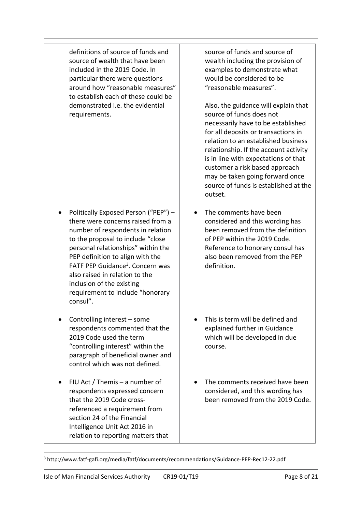definitions of source of funds and source of wealth that have been included in the 2019 Code. In particular there were questions around how "reasonable measures" to establish each of these could be demonstrated i.e. the evidential requirements.

- Politically Exposed Person ("PEP") there were concerns raised from a number of respondents in relation to the proposal to include "close personal relationships" within the PEP definition to align with the FATF PEP Guidance<sup>3</sup>. Concern was also raised in relation to the inclusion of the existing requirement to include "honorary consul".
- Controlling interest some respondents commented that the 2019 Code used the term "controlling interest" within the paragraph of beneficial owner and control which was not defined.
- FIU Act / Themis a number of respondents expressed concern that the 2019 Code crossreferenced a requirement from section 24 of the Financial Intelligence Unit Act 2016 in relation to reporting matters that

-

source of funds and source of wealth including the provision of examples to demonstrate what would be considered to be "reasonable measures".

Also, the guidance will explain that source of funds does not necessarily have to be established for all deposits or transactions in relation to an established business relationship. If the account activity is in line with expectations of that customer a risk based approach may be taken going forward once source of funds is established at the outset.

- The comments have been considered and this wording has been removed from the definition of PEP within the 2019 Code. Reference to honorary consul has also been removed from the PEP definition.
- This is term will be defined and explained further in Guidance which will be developed in due course.
- The comments received have been considered, and this wording has been removed from the 2019 Code.

<sup>3</sup> http://www.fatf-gafi.org/media/fatf/documents/recommendations/Guidance-PEP-Rec12-22.pdf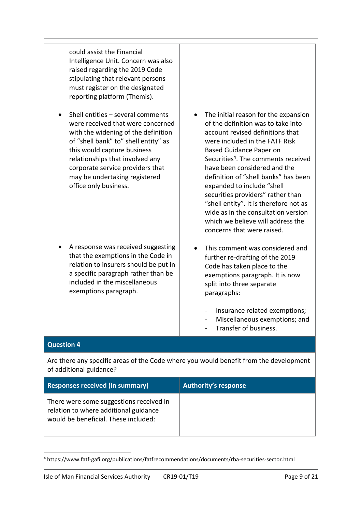could assist the Financial Intelligence Unit. Concern was also raised regarding the 2019 Code stipulating that relevant persons must register on the designated reporting platform (Themis).

 Shell entities – several comments were received that were concerned with the widening of the definition of "shell bank" to" shell entity" as this would capture business relationships that involved any corporate service providers that may be undertaking registered office only business.

- A response was received suggesting that the exemptions in the Code in relation to insurers should be put in a specific paragraph rather than be included in the miscellaneous exemptions paragraph.
- The initial reason for the expansion of the definition was to take into account revised definitions that were included in the FATF Risk Based Guidance Paper on Securities<sup>4</sup>. The comments received have been considered and the definition of "shell banks" has been expanded to include "shell securities providers" rather than "shell entity". It is therefore not as wide as in the consultation version which we believe will address the concerns that were raised.
- This comment was considered and further re-drafting of the 2019 Code has taken place to the exemptions paragraph. It is now split into three separate paragraphs:
	- Insurance related exemptions;
	- Miscellaneous exemptions; and
	- Transfer of business.

#### **Question 4**

-

Are there any specific areas of the Code where you would benefit from the development of additional guidance?

| <b>Responses received (in summary)</b>                                                                                   | Authority's response |
|--------------------------------------------------------------------------------------------------------------------------|----------------------|
| There were some suggestions received in<br>relation to where additional guidance<br>would be beneficial. These included: |                      |

<sup>4</sup> https://www.fatf-gafi.org/publications/fatfrecommendations/documents/rba-securities-sector.html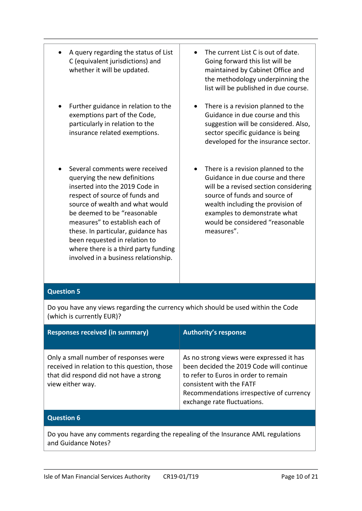- A query regarding the status of List C (equivalent jurisdictions) and whether it will be updated.
- Further guidance in relation to the exemptions part of the Code, particularly in relation to the insurance related exemptions.
- Several comments were received querying the new definitions inserted into the 2019 Code in respect of source of funds and source of wealth and what would be deemed to be "reasonable measures" to establish each of these. In particular, guidance has been requested in relation to where there is a third party funding involved in a business relationship.
- The current List C is out of date. Going forward this list will be maintained by Cabinet Office and the methodology underpinning the list will be published in due course.
- There is a revision planned to the Guidance in due course and this suggestion will be considered. Also, sector specific guidance is being developed for the insurance sector.
- There is a revision planned to the Guidance in due course and there will be a revised section considering source of funds and source of wealth including the provision of examples to demonstrate what would be considered "reasonable measures".

#### **Question 5**

Do you have any views regarding the currency which should be used within the Code (which is currently EUR)?

| <b>Responses received (in summary)</b>                                                                                                              | <b>Authority's response</b>                                                                                                                                                                                                         |  |
|-----------------------------------------------------------------------------------------------------------------------------------------------------|-------------------------------------------------------------------------------------------------------------------------------------------------------------------------------------------------------------------------------------|--|
| Only a small number of responses were<br>received in relation to this question, those<br>that did respond did not have a strong<br>view either way. | As no strong views were expressed it has<br>been decided the 2019 Code will continue<br>to refer to Euros in order to remain<br>consistent with the FATF<br>Recommendations irrespective of currency<br>exchange rate fluctuations. |  |
| <b>Question 6</b>                                                                                                                                   |                                                                                                                                                                                                                                     |  |
| Do vou have any comments regarding the repealing of the Insurance AMI regulations                                                                   |                                                                                                                                                                                                                                     |  |

Do you have any comments regarding the repealing of the Insurance AML regulations and Guidance Notes?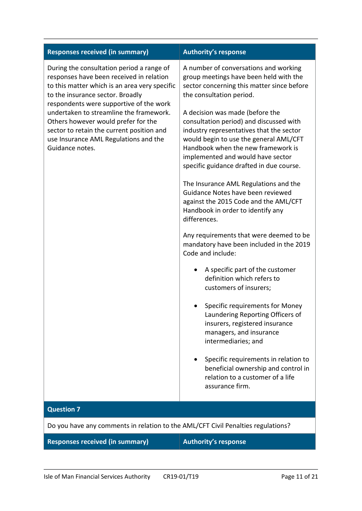| <b>Responses received (in summary)</b>                                                                                                                                                                                                                                                                                                                                                                           | <b>Authority's response</b>                                                                                                                                                                                                                                                                                                                                                                                                                                                                                                                                                                                                                                                                                                                                                                                                                                                                                                                                                                                                                                                                                                              |  |
|------------------------------------------------------------------------------------------------------------------------------------------------------------------------------------------------------------------------------------------------------------------------------------------------------------------------------------------------------------------------------------------------------------------|------------------------------------------------------------------------------------------------------------------------------------------------------------------------------------------------------------------------------------------------------------------------------------------------------------------------------------------------------------------------------------------------------------------------------------------------------------------------------------------------------------------------------------------------------------------------------------------------------------------------------------------------------------------------------------------------------------------------------------------------------------------------------------------------------------------------------------------------------------------------------------------------------------------------------------------------------------------------------------------------------------------------------------------------------------------------------------------------------------------------------------------|--|
| During the consultation period a range of<br>responses have been received in relation<br>to this matter which is an area very specific<br>to the insurance sector. Broadly<br>respondents were supportive of the work<br>undertaken to streamline the framework.<br>Others however would prefer for the<br>sector to retain the current position and<br>use Insurance AML Regulations and the<br>Guidance notes. | A number of conversations and working<br>group meetings have been held with the<br>sector concerning this matter since before<br>the consultation period.<br>A decision was made (before the<br>consultation period) and discussed with<br>industry representatives that the sector<br>would begin to use the general AML/CFT<br>Handbook when the new framework is<br>implemented and would have sector<br>specific guidance drafted in due course.<br>The Insurance AML Regulations and the<br>Guidance Notes have been reviewed<br>against the 2015 Code and the AML/CFT<br>Handbook in order to identify any<br>differences.<br>Any requirements that were deemed to be<br>mandatory have been included in the 2019<br>Code and include:<br>A specific part of the customer<br>definition which refers to<br>customers of insurers;<br>Specific requirements for Money<br>Laundering Reporting Officers of<br>insurers, registered insurance<br>managers, and insurance<br>intermediaries; and<br>Specific requirements in relation to<br>beneficial ownership and control in<br>relation to a customer of a life<br>assurance firm. |  |
| <b>Question 7</b>                                                                                                                                                                                                                                                                                                                                                                                                |                                                                                                                                                                                                                                                                                                                                                                                                                                                                                                                                                                                                                                                                                                                                                                                                                                                                                                                                                                                                                                                                                                                                          |  |
| Do you have any comments in relation to the AML/CFT Civil Penalties regulations?                                                                                                                                                                                                                                                                                                                                 |                                                                                                                                                                                                                                                                                                                                                                                                                                                                                                                                                                                                                                                                                                                                                                                                                                                                                                                                                                                                                                                                                                                                          |  |

**Responses received (in summary) Authority's response**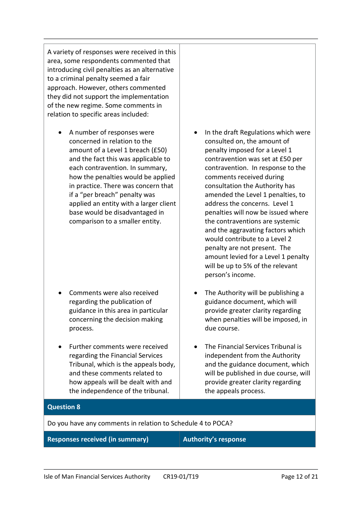A variety of responses were received in this area, some respondents commented that introducing civil penalties as an alternative to a criminal penalty seemed a fair approach. However, others commented they did not support the implementation of the new regime. Some comments in relation to specific areas included:

 A number of responses were concerned in relation to the amount of a Level 1 breach (£50) and the fact this was applicable to each contravention. In summary, how the penalties would be applied in practice. There was concern that if a "per breach" penalty was applied an entity with a larger client base would be disadvantaged in comparison to a smaller entity.

- Comments were also received regarding the publication of guidance in this area in particular concerning the decision making process.
- Further comments were received regarding the Financial Services Tribunal, which is the appeals body, and these comments related to how appeals will be dealt with and the independence of the tribunal.
- In the draft Regulations which were consulted on, the amount of penalty imposed for a Level 1 contravention was set at £50 per contravention. In response to the comments received during consultation the Authority has amended the Level 1 penalties, to address the concerns. Level 1 penalties will now be issued where the contraventions are systemic and the aggravating factors which would contribute to a Level 2 penalty are not present. The amount levied for a Level 1 penalty will be up to 5% of the relevant person's income.
- The Authority will be publishing a guidance document, which will provide greater clarity regarding when penalties will be imposed, in due course.
- The Financial Services Tribunal is independent from the Authority and the guidance document, which will be published in due course, will provide greater clarity regarding the appeals process.

#### **Question 8**

Do you have any comments in relation to Schedule 4 to POCA?

#### **Responses received (in summary) Authority's response**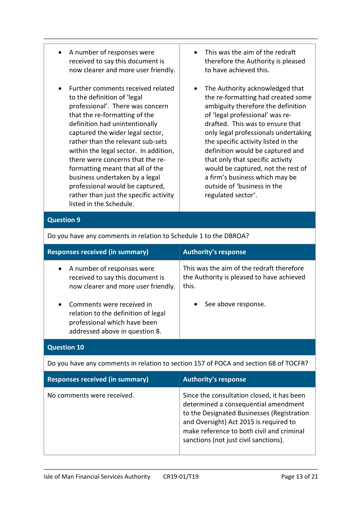- A number of responses were received to say this document is now clearer and more user friendly.
- Further comments received related to the definition of 'legal professional'. There was concern that the re-formatting of the definition had unintentionally captured the wider legal sector, rather than the relevant sub-sets within the legal sector. In addition, there were concerns that the reformatting meant that all of the business undertaken by a legal professional would be captured, rather than just the specific activity listed in the Schedule.
- This was the aim of the redraft therefore the Authority is pleased to have achieved this.
- The Authority acknowledged that the re-formatting had created some ambiguity therefore the definition of 'legal professional' was redrafted. This was to ensure that only legal professionals undertaking the specific activity listed in the definition would be captured and that only that specific activity would be captured, not the rest of a firm's business which may be outside of 'business in the regulated sector'.

### **Question 9**

| <b>Responses received (in summary)</b>                                                                                                                                                                                                                                | <b>Authority's response</b>                                                                                            |  |  |
|-----------------------------------------------------------------------------------------------------------------------------------------------------------------------------------------------------------------------------------------------------------------------|------------------------------------------------------------------------------------------------------------------------|--|--|
| A number of responses were<br>$\bullet$<br>received to say this document is<br>now clearer and more user friendly.<br>Comments were received in<br>$\bullet$<br>relation to the definition of legal<br>professional which have been<br>addressed above in question 8. | This was the aim of the redraft therefore<br>the Authority is pleased to have achieved<br>this.<br>See above response. |  |  |
| <b>Question 10</b>                                                                                                                                                                                                                                                    |                                                                                                                        |  |  |
| Do you have any comments in relation to section 157 of POCA and section 68 of TOCFR?                                                                                                                                                                                  |                                                                                                                        |  |  |

Do you have any comments in relation to Schedule 1 to the DBROA?

| <b>Responses received (in summary)</b> | <b>Authority's response</b>                                                                                                                                                                                                                                      |
|----------------------------------------|------------------------------------------------------------------------------------------------------------------------------------------------------------------------------------------------------------------------------------------------------------------|
| No comments were received.             | Since the consultation closed, it has been<br>determined a consequential amendment<br>to the Designated Businesses (Registration<br>and Oversight) Act 2015 is required to<br>make reference to both civil and criminal<br>sanctions (not just civil sanctions). |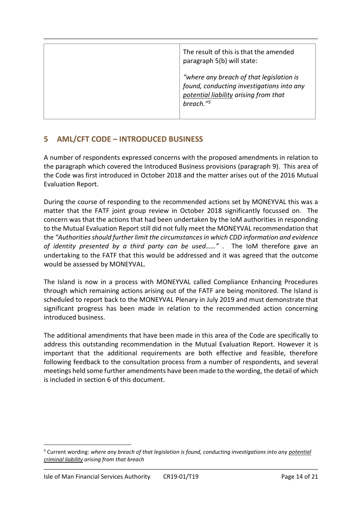| The result of this is that the amended<br>paragraph 5(b) will state:                                                                                    |
|---------------------------------------------------------------------------------------------------------------------------------------------------------|
| "where any breach of that legislation is<br>found, conducting investigations into any<br>potential liability arising from that<br>breach." <sup>5</sup> |

# **5 AML/CFT CODE – INTRODUCED BUSINESS**

A number of respondents expressed concerns with the proposed amendments in relation to the paragraph which covered the Introduced Business provisions (paragraph 9). This area of the Code was first introduced in October 2018 and the matter arises out of the 2016 Mutual Evaluation Report.

During the course of responding to the recommended actions set by MONEYVAL this was a matter that the FATF joint group review in October 2018 significantly focussed on. The concern was that the actions that had been undertaken by the IoM authorities in responding to the Mutual Evaluation Report still did not fully meet the MONEYVAL recommendation that the *"Authorities should further limit the circumstances in which CDD information and evidence of identity presented by a third party can be used……" .* The IoM therefore gave an undertaking to the FATF that this would be addressed and it was agreed that the outcome would be assessed by MONEYVAL.

The Island is now in a process with MONEYVAL called Compliance Enhancing Procedures through which remaining actions arising out of the FATF are being monitored. The Island is scheduled to report back to the MONEYVAL Plenary in July 2019 and must demonstrate that significant progress has been made in relation to the recommended action concerning introduced business.

The additional amendments that have been made in this area of the Code are specifically to address this outstanding recommendation in the Mutual Evaluation Report. However it is important that the additional requirements are both effective and feasible, therefore following feedback to the consultation process from a number of respondents, and several meetings held some further amendments have been made to the wording, the detail of which is included in section 6 of this document.

-

<sup>5</sup> Current wording: *where any breach of that legislation is found, conducting investigations into any potential criminal liability arising from that breach*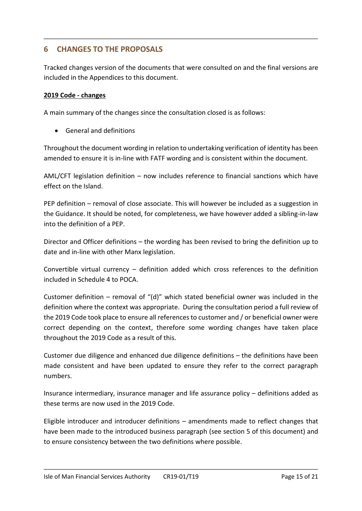# **6 CHANGES TO THE PROPOSALS**

Tracked changes version of the documents that were consulted on and the final versions are included in the Appendices to this document.

#### **2019 Code - changes**

A main summary of the changes since the consultation closed is as follows:

General and definitions

Throughout the document wording in relation to undertaking verification of identity has been amended to ensure it is in-line with FATF wording and is consistent within the document.

AML/CFT legislation definition – now includes reference to financial sanctions which have effect on the Island.

PEP definition – removal of close associate. This will however be included as a suggestion in the Guidance. It should be noted, for completeness, we have however added a sibling-in-law into the definition of a PEP.

Director and Officer definitions – the wording has been revised to bring the definition up to date and in-line with other Manx legislation.

Convertible virtual currency – definition added which cross references to the definition included in Schedule 4 to POCA.

Customer definition – removal of "(d)" which stated beneficial owner was included in the definition where the context was appropriate. During the consultation period a full review of the 2019 Code took place to ensure all references to customer and / or beneficial owner were correct depending on the context, therefore some wording changes have taken place throughout the 2019 Code as a result of this.

Customer due diligence and enhanced due diligence definitions – the definitions have been made consistent and have been updated to ensure they refer to the correct paragraph numbers.

Insurance intermediary, insurance manager and life assurance policy – definitions added as these terms are now used in the 2019 Code.

Eligible introducer and introducer definitions – amendments made to reflect changes that have been made to the introduced business paragraph (see section 5 of this document) and to ensure consistency between the two definitions where possible.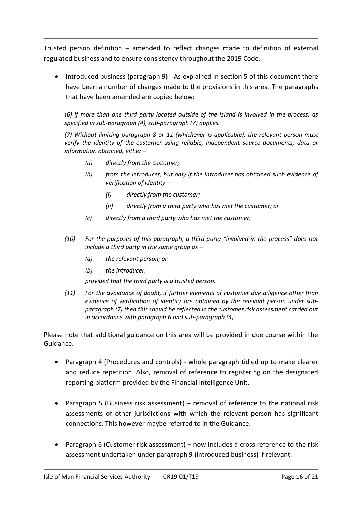Trusted person definition – amended to reflect changes made to definition of external regulated business and to ensure consistency throughout the 2019 Code.

 Introduced business (paragraph 9) - As explained in section 5 of this document there have been a number of changes made to the provisions in this area. The paragraphs that have been amended are copied below:

(*6) If more than one third party located outside of the Island is involved in the process, as specified in sub-paragraph (4), sub-paragraph (7) applies.* 

*(7) Without limiting paragraph 8 or 11 (whichever is applicable), the relevant person must verify the identity of the customer using reliable, independent source documents, data or information obtained, either –*

- *(a) directly from the customer;*
- *(b) from the introducer, but only if the introducer has obtained such evidence of verification of identity –*
	- *(i) directly from the customer;*
	- *(ii) directly from a third party who has met the customer; or*
- *(c) directly from a third party who has met the customer.*
- *(10) For the purposes of this paragraph, a third party "involved in the process" does not include a third party in the same group as –*
	- *(a) the relevant person; or*
	- *(b) the introducer,*

*provided that the third party is a trusted person.*

*(11) For the avoidance of doubt, if further elements of customer due diligence other than evidence of verification of identity are obtained by the relevant person under subparagraph (7) then this should be reflected in the customer risk assessment carried out in accordance with paragraph 6 and sub-paragraph (4).*

Please note that additional guidance on this area will be provided in due course within the Guidance.

- Paragraph 4 (Procedures and controls) whole paragraph tidied up to make clearer and reduce repetition. Also, removal of reference to registering on the designated reporting platform provided by the Financial Intelligence Unit.
- Paragraph 5 (Business risk assessment) removal of reference to the national risk assessments of other jurisdictions with which the relevant person has significant connections. This however maybe referred to in the Guidance.
- Paragraph 6 (Customer risk assessment) now includes a cross reference to the risk assessment undertaken under paragraph 9 (introduced business) if relevant.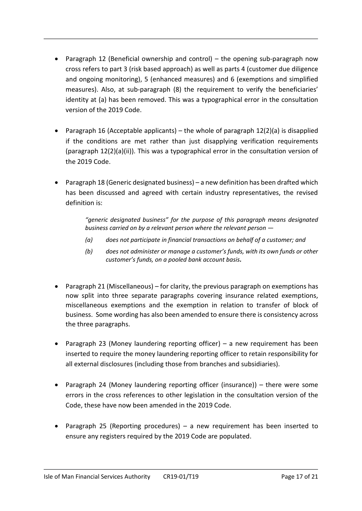- Paragraph 12 (Beneficial ownership and control) the opening sub-paragraph now cross refers to part 3 (risk based approach) as well as parts 4 (customer due diligence and ongoing monitoring), 5 (enhanced measures) and 6 (exemptions and simplified measures). Also, at sub-paragraph (8) the requirement to verify the beneficiaries' identity at (a) has been removed. This was a typographical error in the consultation version of the 2019 Code.
- Paragraph 16 (Acceptable applicants) the whole of paragraph  $12(2)(a)$  is disapplied if the conditions are met rather than just disapplying verification requirements (paragraph 12(2)(a)(ii)). This was a typographical error in the consultation version of the 2019 Code.
- Paragraph 18 (Generic designated business) a new definition has been drafted which has been discussed and agreed with certain industry representatives, the revised definition is:

*"generic designated business" for the purpose of this paragraph means designated business carried on by a relevant person where the relevant person —*

- *(a) does not participate in financial transactions on behalf of a customer; and*
- *(b) does not administer or manage a customer's funds, with its own funds or other customer's funds, on a pooled bank account basis.*
- Paragraph 21 (Miscellaneous) for clarity, the previous paragraph on exemptions has now split into three separate paragraphs covering insurance related exemptions, miscellaneous exemptions and the exemption in relation to transfer of block of business. Some wording has also been amended to ensure there is consistency across the three paragraphs.
- Paragraph 23 (Money laundering reporting officer) a new requirement has been inserted to require the money laundering reporting officer to retain responsibility for all external disclosures (including those from branches and subsidiaries).
- Paragraph 24 (Money laundering reporting officer (insurance)) there were some errors in the cross references to other legislation in the consultation version of the Code, these have now been amended in the 2019 Code.
- Paragraph 25 (Reporting procedures) a new requirement has been inserted to ensure any registers required by the 2019 Code are populated.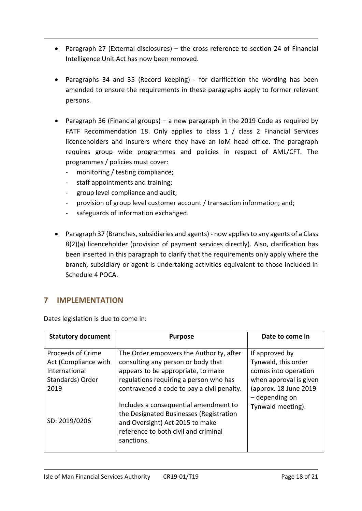- Paragraph 27 (External disclosures) the cross reference to section 24 of Financial Intelligence Unit Act has now been removed.
- Paragraphs 34 and 35 (Record keeping) for clarification the wording has been amended to ensure the requirements in these paragraphs apply to former relevant persons.
- Paragraph 36 (Financial groups) a new paragraph in the 2019 Code as required by FATF Recommendation 18. Only applies to class 1 / class 2 Financial Services licenceholders and insurers where they have an IoM head office. The paragraph requires group wide programmes and policies in respect of AML/CFT. The programmes / policies must cover:
	- monitoring / testing compliance;
	- staff appointments and training;
	- group level compliance and audit;
	- provision of group level customer account / transaction information; and;
	- safeguards of information exchanged.
- Paragraph 37 (Branches, subsidiaries and agents) now applies to any agents of a Class 8(2)(a) licenceholder (provision of payment services directly). Also, clarification has been inserted in this paragraph to clarify that the requirements only apply where the branch, subsidiary or agent is undertaking activities equivalent to those included in Schedule 4 POCA.

# **7 IMPLEMENTATION**

Dates legislation is due to come in:

| <b>Statutory document</b>                                                              | <b>Purpose</b>                                                                                                                                                                                              | Date to come in                                                                                                  |
|----------------------------------------------------------------------------------------|-------------------------------------------------------------------------------------------------------------------------------------------------------------------------------------------------------------|------------------------------------------------------------------------------------------------------------------|
| Proceeds of Crime<br>Act (Compliance with<br>International<br>Standards) Order<br>2019 | The Order empowers the Authority, after<br>consulting any person or body that<br>appears to be appropriate, to make<br>regulations requiring a person who has<br>contravened a code to pay a civil penalty. | If approved by<br>Tynwald, this order<br>comes into operation<br>when approval is given<br>(approx. 18 June 2019 |
| SD: 2019/0206                                                                          | Includes a consequential amendment to<br>the Designated Businesses (Registration<br>and Oversight) Act 2015 to make<br>reference to both civil and criminal<br>sanctions.                                   | - depending on<br>Tynwald meeting).                                                                              |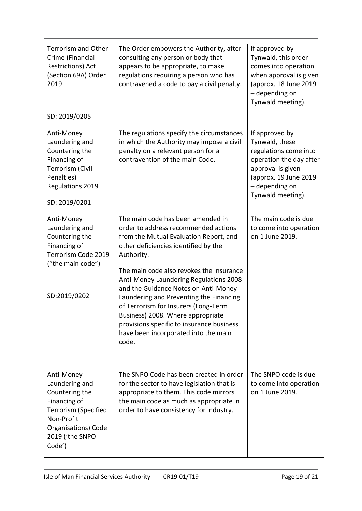| <b>Terrorism and Other</b><br>Crime (Financial<br><b>Restrictions) Act</b><br>(Section 69A) Order<br>2019<br>SD: 2019/0205                                              | The Order empowers the Authority, after<br>consulting any person or body that<br>appears to be appropriate, to make<br>regulations requiring a person who has<br>contravened a code to pay a civil penalty.                                                                                                                                                                                                                                                                                                                   | If approved by<br>Tynwald, this order<br>comes into operation<br>when approval is given<br>(approx. 18 June 2019)<br>- depending on<br>Tynwald meeting).                  |
|-------------------------------------------------------------------------------------------------------------------------------------------------------------------------|-------------------------------------------------------------------------------------------------------------------------------------------------------------------------------------------------------------------------------------------------------------------------------------------------------------------------------------------------------------------------------------------------------------------------------------------------------------------------------------------------------------------------------|---------------------------------------------------------------------------------------------------------------------------------------------------------------------------|
| Anti-Money<br>Laundering and<br>Countering the<br>Financing of<br><b>Terrorism (Civil</b><br>Penalties)<br>Regulations 2019<br>SD: 2019/0201                            | The regulations specify the circumstances<br>in which the Authority may impose a civil<br>penalty on a relevant person for a<br>contravention of the main Code.                                                                                                                                                                                                                                                                                                                                                               | If approved by<br>Tynwald, these<br>regulations come into<br>operation the day after<br>approval is given<br>(approx. 19 June 2019<br>- depending on<br>Tynwald meeting). |
| Anti-Money<br>Laundering and<br>Countering the<br>Financing of<br>Terrorism Code 2019<br>("the main code")<br>SD:2019/0202                                              | The main code has been amended in<br>order to address recommended actions<br>from the Mutual Evaluation Report, and<br>other deficiencies identified by the<br>Authority.<br>The main code also revokes the Insurance<br>Anti-Money Laundering Regulations 2008<br>and the Guidance Notes on Anti-Money<br>Laundering and Preventing the Financing<br>of Terrorism for Insurers (Long-Term<br>Business) 2008. Where appropriate<br>provisions specific to insurance business<br>have been incorporated into the main<br>code. | The main code is due<br>to come into operation<br>on 1 June 2019.                                                                                                         |
| Anti-Money<br>Laundering and<br>Countering the<br>Financing of<br><b>Terrorism (Specified</b><br>Non-Profit<br><b>Organisations</b> ) Code<br>2019 ('the SNPO<br>Code') | The SNPO Code has been created in order<br>for the sector to have legislation that is<br>appropriate to them. This code mirrors<br>the main code as much as appropriate in<br>order to have consistency for industry.                                                                                                                                                                                                                                                                                                         | The SNPO code is due<br>to come into operation<br>on 1 June 2019.                                                                                                         |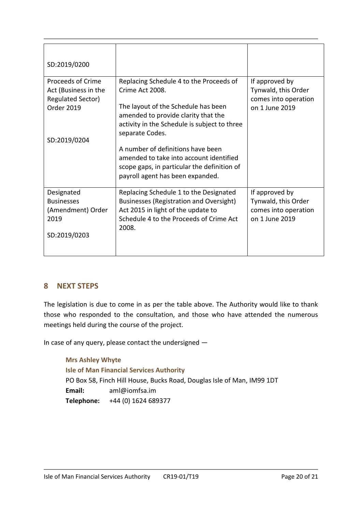| SD:2019/0200                                                                                               |                                                                                                                                                                                                             |                                                                                 |
|------------------------------------------------------------------------------------------------------------|-------------------------------------------------------------------------------------------------------------------------------------------------------------------------------------------------------------|---------------------------------------------------------------------------------|
| Proceeds of Crime<br>Act (Business in the<br><b>Regulated Sector)</b><br><b>Order 2019</b><br>SD:2019/0204 | Replacing Schedule 4 to the Proceeds of<br>Crime Act 2008.<br>The layout of the Schedule has been<br>amended to provide clarity that the<br>activity in the Schedule is subject to three<br>separate Codes. | If approved by<br>Tynwald, this Order<br>comes into operation<br>on 1 June 2019 |
|                                                                                                            | A number of definitions have been<br>amended to take into account identified<br>scope gaps, in particular the definition of<br>payroll agent has been expanded.                                             |                                                                                 |
| Designated<br><b>Businesses</b><br>(Amendment) Order<br>2019<br>SD:2019/0203                               | Replacing Schedule 1 to the Designated<br>Businesses (Registration and Oversight)<br>Act 2015 in light of the update to<br>Schedule 4 to the Proceeds of Crime Act<br>2008.                                 | If approved by<br>Tynwald, this Order<br>comes into operation<br>on 1 June 2019 |

# **8 NEXT STEPS**

The legislation is due to come in as per the table above. The Authority would like to thank those who responded to the consultation, and those who have attended the numerous meetings held during the course of the project.

In case of any query, please contact the undersigned —

**Mrs Ashley Whyte Isle of Man Financial Services Authority** PO Box 58, Finch Hill House, Bucks Road, Douglas Isle of Man, IM99 1DT **Email:** aml@iomfsa.im **Telephone:** +44 (0) 1624 689377